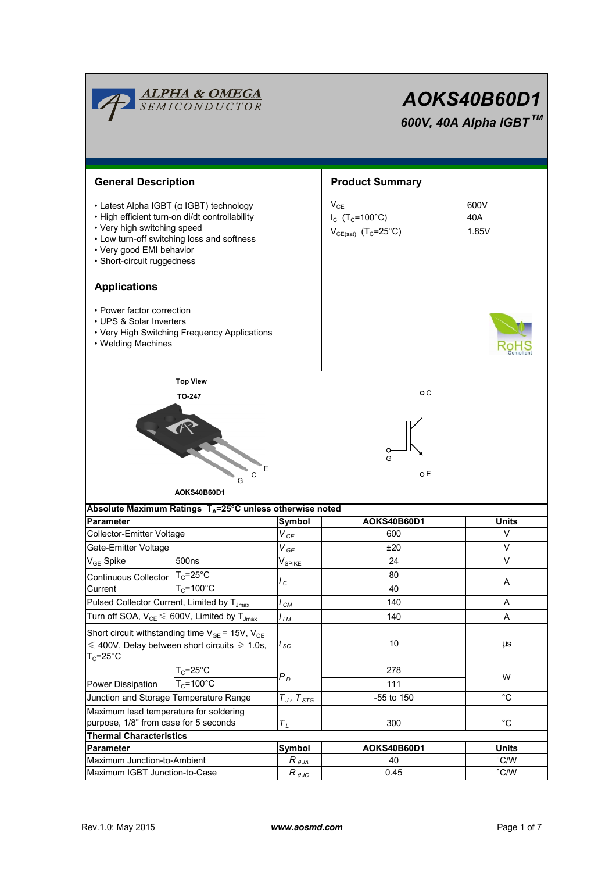|                                                                                                                                     | <b>ALPHA &amp; OMEGA</b><br>SEMICONDUCTOR                                                                                               | AOKS40B60D1<br>600V, 40A Alpha IGBT™     |                                                                                     |                                |  |
|-------------------------------------------------------------------------------------------------------------------------------------|-----------------------------------------------------------------------------------------------------------------------------------------|------------------------------------------|-------------------------------------------------------------------------------------|--------------------------------|--|
| <b>General Description</b>                                                                                                          |                                                                                                                                         |                                          | <b>Product Summary</b>                                                              |                                |  |
| • Very high switching speed<br>• Very good EMI behavior<br>· Short-circuit ruggedness                                               | • Latest Alpha IGBT (α IGBT) technology<br>· High efficient turn-on di/dt controllability<br>• Low turn-off switching loss and softness |                                          | $V_{CE}$<br>$I_{C}$ (T <sub>C</sub> =100°C)<br>$V_{CE(sat)}$ (T <sub>C</sub> =25°C) | 600V<br>40A<br>1.85V           |  |
| <b>Applications</b>                                                                                                                 |                                                                                                                                         |                                          |                                                                                     |                                |  |
| • Power factor correction<br>• UPS & Solar Inverters<br>• Welding Machines                                                          | • Very High Switching Frequency Applications                                                                                            |                                          |                                                                                     |                                |  |
|                                                                                                                                     | <b>Top View</b>                                                                                                                         |                                          |                                                                                     |                                |  |
|                                                                                                                                     | <b>TO-247</b><br>Ε<br>C<br>G<br>AOKS40B60D1                                                                                             |                                          | oс<br>G<br>òΕ                                                                       |                                |  |
|                                                                                                                                     | Absolute Maximum Ratings T <sub>A</sub> =25°C unless otherwise noted                                                                    |                                          |                                                                                     |                                |  |
| <b>Parameter</b>                                                                                                                    |                                                                                                                                         | Symbol                                   | AOKS40B60D1<br>600                                                                  | Units<br>V                     |  |
| <b>Collector-Emitter Voltage</b>                                                                                                    |                                                                                                                                         | $V_{\textit{CE}}$                        |                                                                                     |                                |  |
| Gate-Emitter Voltage                                                                                                                |                                                                                                                                         | $V_{GE}$                                 | ±20                                                                                 | V<br>$\vee$                    |  |
| V <sub>GE</sub> Spike                                                                                                               | 500 <sub>ns</sub>                                                                                                                       | $V_{SPIKE}$                              | 24                                                                                  |                                |  |
| <b>Continuous Collector</b><br>Current                                                                                              | $T_c = 25$ °C<br>$T_c = 100^{\circ}$ C                                                                                                  | $\mathcal{L}_{C}$                        | 80<br>40                                                                            | A                              |  |
|                                                                                                                                     |                                                                                                                                         |                                          | 140                                                                                 | Α                              |  |
| Pulsed Collector Current, Limited by T <sub>Jmax</sub>                                                                              |                                                                                                                                         | $I_{CM}$                                 | 140                                                                                 | Α                              |  |
| Turn off SOA, $V_{CE} \leq 600V$ , Limited by $T_{Jmax}$                                                                            |                                                                                                                                         | I <sub>LМ</sub>                          |                                                                                     |                                |  |
| Short circuit withstanding time $V_{GE}$ = 15V, $V_{CE}$<br>$\leq 400V$ , Delay between short circuits $\geq 1.0s$ ,<br>$T_c$ =25°C |                                                                                                                                         | $t_{\,\rm SC}$                           | 10                                                                                  | $\mu s$                        |  |
|                                                                                                                                     | $T_c = 25$ °C                                                                                                                           | $P_D$                                    | 278                                                                                 | W                              |  |
| Power Dissipation                                                                                                                   | $T_c = 100^{\circ}$ C                                                                                                                   |                                          | 111                                                                                 |                                |  |
| Junction and Storage Temperature Range                                                                                              |                                                                                                                                         | $T_J, \ T_{STG}$                         | -55 to 150                                                                          | $^{\circ}C$                    |  |
| Maximum lead temperature for soldering<br>purpose, 1/8" from case for 5 seconds                                                     |                                                                                                                                         | $T_L$                                    | 300                                                                                 | $^{\circ}C$                    |  |
| <b>Thermal Characteristics</b>                                                                                                      |                                                                                                                                         |                                          |                                                                                     |                                |  |
| Parameter                                                                                                                           |                                                                                                                                         | Symbol                                   | AOKS40B60D1                                                                         | <b>Units</b>                   |  |
| Maximum Junction-to-Ambient<br>Maximum IGBT Junction-to-Case                                                                        |                                                                                                                                         | $R_{\theta$ JA<br>$R_{\theta \text{JC}}$ | 40<br>0.45                                                                          | $\degree$ C/W<br>$\degree$ C/W |  |
|                                                                                                                                     |                                                                                                                                         |                                          |                                                                                     |                                |  |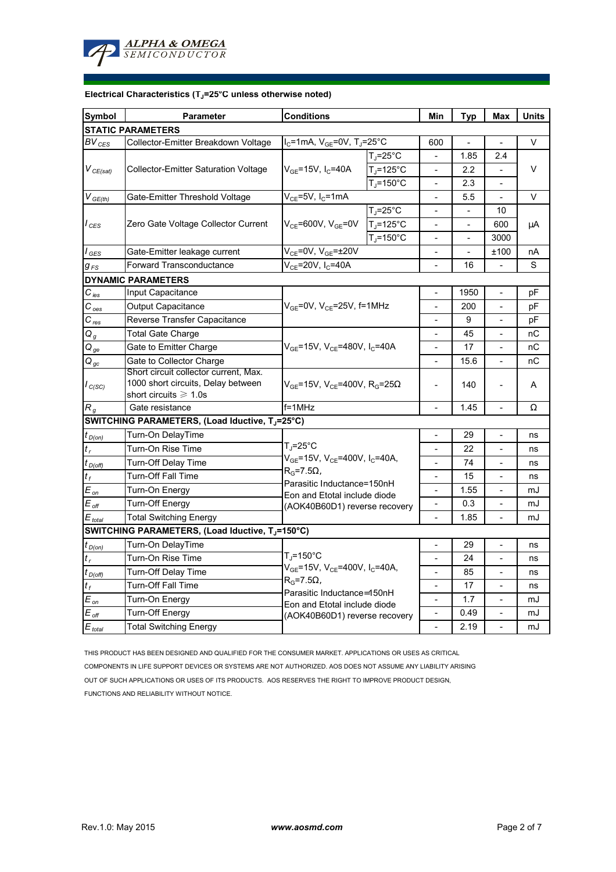

## **Electrical Characteristics (TJ=25°C unless otherwise noted)**

| <b>Symbol</b>                | <b>Parameter</b>                                                                                           | <b>Conditions</b>                                                                                     | Min                      | <b>Typ</b>                   | Max            | <b>Units</b>             |    |  |  |  |  |  |
|------------------------------|------------------------------------------------------------------------------------------------------------|-------------------------------------------------------------------------------------------------------|--------------------------|------------------------------|----------------|--------------------------|----|--|--|--|--|--|
| <b>STATIC PARAMETERS</b>     |                                                                                                            |                                                                                                       |                          |                              |                |                          |    |  |  |  |  |  |
| $BV_{CES}$                   | Collector-Emitter Breakdown Voltage                                                                        | $I_C$ =1mA, $V_{GE}$ =0V, T <sub>J</sub> =25°C                                                        |                          | 600                          |                |                          | V  |  |  |  |  |  |
| $V_{CE(sat)}$                | <b>Collector-Emitter Saturation Voltage</b>                                                                |                                                                                                       | $T_J = 25$ °C            |                              | 1.85           | 2.4                      | V  |  |  |  |  |  |
|                              |                                                                                                            | $V_{GE}$ =15V, I <sub>C</sub> =40A                                                                    | $T_J = 125$ °C           |                              | 2.2            |                          |    |  |  |  |  |  |
|                              |                                                                                                            |                                                                                                       | $T_J = 150^{\circ}C$     |                              | 2.3            |                          |    |  |  |  |  |  |
| $V_{GE(th)}$                 | Gate-Emitter Threshold Voltage                                                                             | $V_{CE}$ =5V, I <sub>C</sub> =1mA                                                                     |                          |                              | 5.5            |                          | V  |  |  |  |  |  |
| l <sub>CES</sub>             | Zero Gate Voltage Collector Current                                                                        | $V_{CE}$ =600V, $V_{GE}$ =0V                                                                          | $T_J = 25$ °C            |                              |                | 10                       | μA |  |  |  |  |  |
|                              |                                                                                                            |                                                                                                       | $T_{\rm J}$ =125°C       |                              |                | 600                      |    |  |  |  |  |  |
|                              |                                                                                                            |                                                                                                       | $T_J = 150^{\circ}C$     | $\blacksquare$               | $\overline{a}$ | 3000                     |    |  |  |  |  |  |
| $I_{GES}$                    | Gate-Emitter leakage current                                                                               | $V_{CE}$ =0V, $V_{GE}$ =±20V                                                                          |                          | $\overline{\phantom{a}}$     |                | ±100                     | nA |  |  |  |  |  |
| $g_{\scriptscriptstyle{FS}}$ | <b>Forward Transconductance</b>                                                                            | $V_{CE}$ =20V, I <sub>C</sub> =40A                                                                    | ٠                        | 16                           |                | S                        |    |  |  |  |  |  |
|                              | <b>DYNAMIC PARAMETERS</b>                                                                                  |                                                                                                       |                          |                              |                |                          |    |  |  |  |  |  |
| $C_{is}$                     | Input Capacitance                                                                                          |                                                                                                       |                          | $\overline{\phantom{a}}$     | 1950           |                          | pF |  |  |  |  |  |
| $C_{\mathit{oes}}$           | <b>Output Capacitance</b>                                                                                  | V <sub>GE</sub> =0V, V <sub>CE</sub> =25V, f=1MHz                                                     | $\overline{\phantom{a}}$ | 200                          |                | рF                       |    |  |  |  |  |  |
| $C_{\frac{res}{}}$           | Reverse Transfer Capacitance                                                                               |                                                                                                       |                          | 9                            |                | рF                       |    |  |  |  |  |  |
| $Q_g$                        | Total Gate Charge                                                                                          |                                                                                                       |                          |                              | 45             |                          | nС |  |  |  |  |  |
| $Q_{ge}$                     | Gate to Emitter Charge                                                                                     | $V_{GE}$ =15V, $V_{CE}$ =480V, I <sub>C</sub> =40A                                                    |                          | 17                           |                | nС                       |    |  |  |  |  |  |
| $Q_{gc}$                     | Gate to Collector Charge                                                                                   |                                                                                                       |                          | 15.6                         |                | nС                       |    |  |  |  |  |  |
| $I_{C(SC)}$                  | Short circuit collector current, Max.<br>1000 short circuits, Delay between<br>short circuits $\geq 1.0$ s | $V_{GE}$ =15V, V <sub>CE</sub> =400V, R <sub>G</sub> =25 $\Omega$                                     | $\blacksquare$           | 140                          |                | A                        |    |  |  |  |  |  |
| $R_g$                        | Gate resistance                                                                                            | $f = 1$ MHz                                                                                           |                          | 1.45                         |                | Ω                        |    |  |  |  |  |  |
|                              | SWITCHING PARAMETERS, (Load Iductive, TJ=25°C)                                                             |                                                                                                       |                          |                              |                |                          |    |  |  |  |  |  |
| $t_{D(0n)}$                  | Turn-On DelayTime                                                                                          |                                                                                                       | $\overline{a}$           | 29                           |                | ns                       |    |  |  |  |  |  |
| $t_{r}$                      | Turn-On Rise Time                                                                                          | T.=25°C<br>V <sub>GE</sub> =15V, V <sub>CE</sub> =400V, I <sub>C</sub> =40A,<br>$R_G$ =7.5 $\Omega$ , |                          | $\overline{\phantom{a}}$     | 22             | $\overline{\phantom{a}}$ | ns |  |  |  |  |  |
| $t_{D(Off)}$                 | <b>Turn-Off Delay Time</b>                                                                                 |                                                                                                       |                          | $\overline{a}$               | 74             | $\overline{a}$           | ns |  |  |  |  |  |
| $t_f$                        | Turn-Off Fall Time                                                                                         |                                                                                                       |                          | $\overline{\phantom{a}}$     | 15             |                          | ns |  |  |  |  |  |
| $E_{on}$                     | Turn-On Energy                                                                                             | Parasitic Inductance=150nH<br>Eon and Etotal include diode                                            |                          | 1.55                         |                | mJ                       |    |  |  |  |  |  |
| $E_{\rm\, off}$              | <b>Turn-Off Energy</b>                                                                                     | (AOK40B60D1) reverse recovery                                                                         |                          | $\qquad \qquad \blacksquare$ | 0.3            | $\overline{a}$           | mJ |  |  |  |  |  |
| $E_{total}$                  | <b>Total Switching Energy</b>                                                                              |                                                                                                       |                          |                              | 1.85           |                          | mJ |  |  |  |  |  |
|                              | SWITCHING PARAMETERS, (Load Iductive, TJ=150°C)                                                            |                                                                                                       |                          |                              |                |                          |    |  |  |  |  |  |
| $t_{D(0n)}$                  | Turn-On DelayTime                                                                                          | T,=150°C<br>$V_{GE}$ =15V, $V_{CE}$ =400V, I <sub>C</sub> =40A,                                       |                          | ÷.                           | 29             |                          | ns |  |  |  |  |  |
| $t_{r}$                      | Turn-On Rise Time                                                                                          |                                                                                                       |                          |                              | 24             |                          | ns |  |  |  |  |  |
| $t_{D(Off)}$                 | Turn-Off Delay Time                                                                                        |                                                                                                       |                          | $\overline{a}$               | 85             |                          | ns |  |  |  |  |  |
| $t_f$                        | <b>Turn-Off Fall Time</b>                                                                                  | $R_G$ =7.5 $\Omega$ ,                                                                                 |                          | 17                           |                | ns                       |    |  |  |  |  |  |
| $E_{on}$                     | Turn-On Energy                                                                                             | Parasitic Inductance=150nH<br>Eon and Etotal include diode                                            |                          | 1.7                          |                | mJ                       |    |  |  |  |  |  |
| $E_{\mathit{\,off}}$         | <b>Turn-Off Energy</b>                                                                                     | (AOK40B60D1) reverse recovery                                                                         |                          | 0.49                         |                | mJ                       |    |  |  |  |  |  |
| $E_{\text{total}}$           | <b>Total Switching Energy</b>                                                                              |                                                                                                       |                          |                              |                | $\overline{a}$           | mJ |  |  |  |  |  |

THIS PRODUCT HAS BEEN DESIGNED AND QUALIFIED FOR THE CONSUMER MARKET. APPLICATIONS OR USES AS CRITICAL COMPONENTS IN LIFE SUPPORT DEVICES OR SYSTEMS ARE NOT AUTHORIZED. AOS DOES NOT ASSUME ANY LIABILITY ARISING

OUT OF SUCH APPLICATIONS OR USES OF ITS PRODUCTS. AOS RESERVES THE RIGHT TO IMPROVE PRODUCT DESIGN,

FUNCTIONS AND RELIABILITY WITHOUT NOTICE.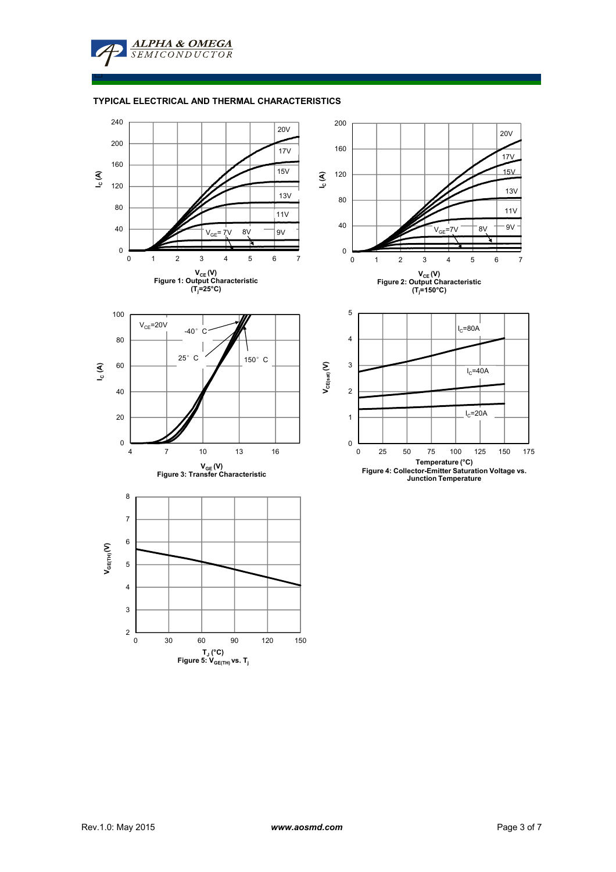**TYPICAL ELECTRICAL AND THERMAL CHARACTERISTICS**

**ALPHA & OMEGA** SEMICONDUCTOR

□

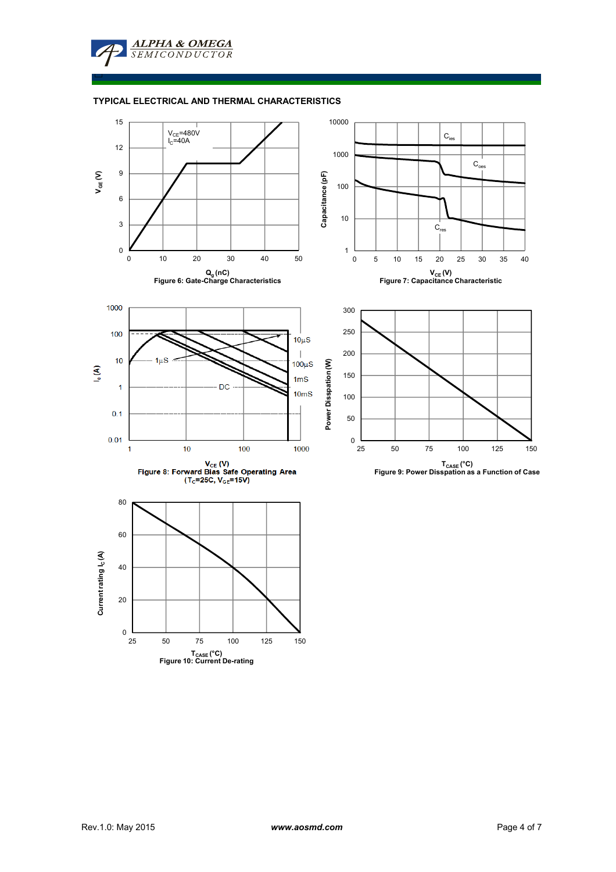**ALPHA & OMEGA SEMICONDUCTOR** 

□

## **TYPICAL ELECTRICAL AND THERMAL CHARACTERISTICS**

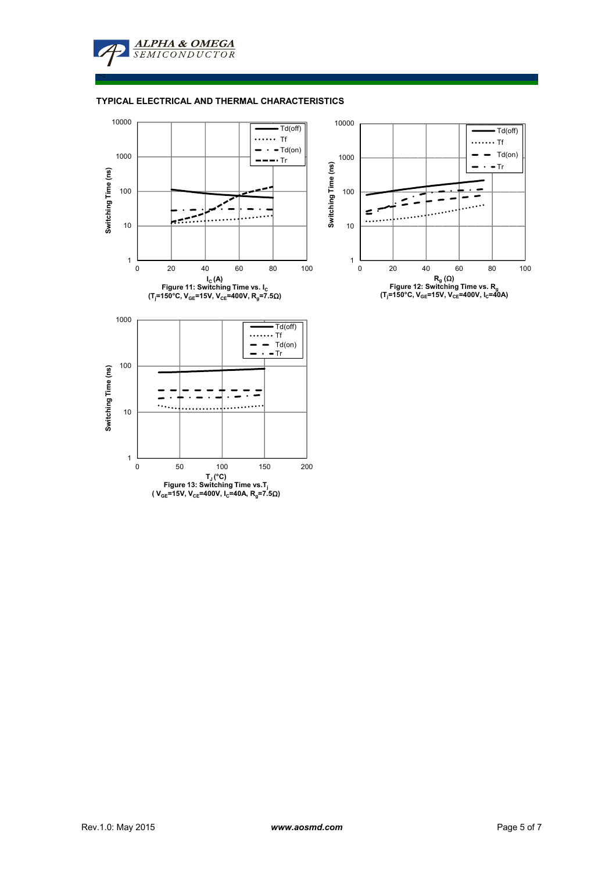

## **TYPICAL ELECTRICAL AND THERMAL CHARACTERISTICS**

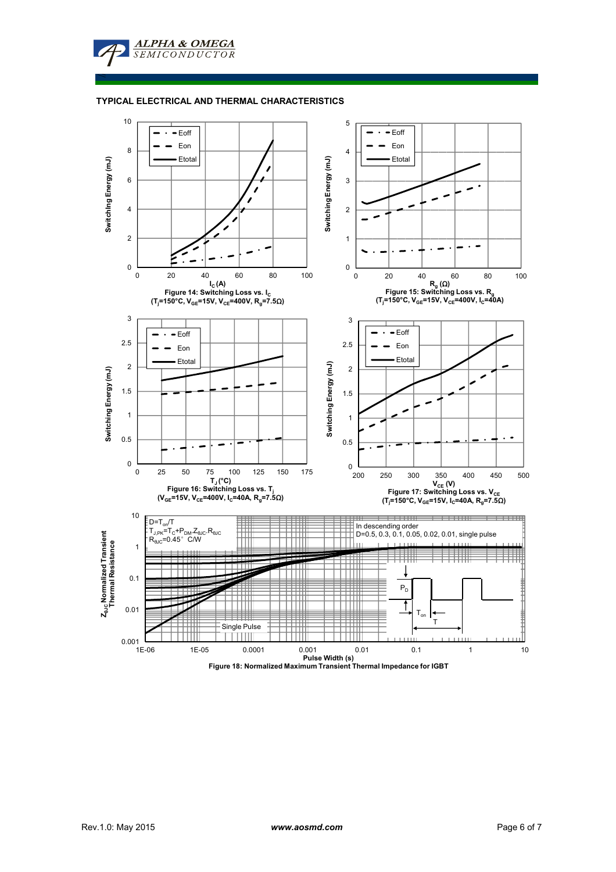ALPHA & OMEGA **SEMICONDUCTOR** 

≤

## **TYPICAL ELECTRICAL AND THERMAL CHARACTERISTICS**